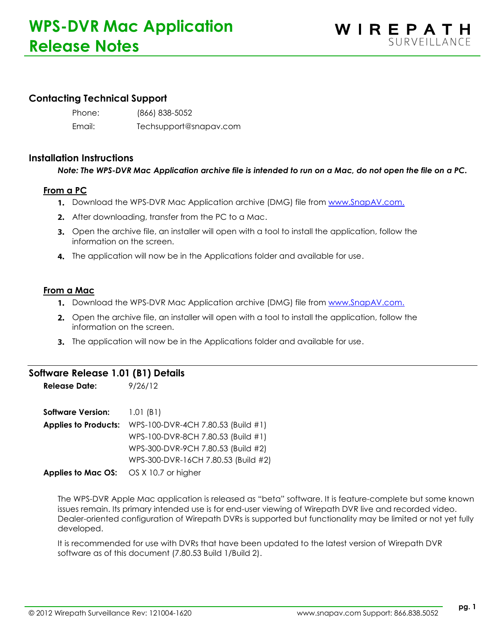# **Contacting Technical Support**

Phone: (866) 838-5052 Email: Techsupport@snapav.com

### **Installation Instructions**

## *Note: The WPS-DVR Mac Application archive file is intended to run on a Mac, do not open the file on a PC.*

## **From a PC**

- 1. Download the WPS-DVR Mac Application archive (DMG) file from [www.SnapAV.com.](http://www.snapav.com/)
- 2. After downloading, transfer from the PC to a Mac.
- 3. Open the archive file, an installer will open with a tool to install the application, follow the information on the screen.
- **4.** The application will now be in the Applications folder and available for use.

#### **From a Mac**

- **1.** Download the WPS-DVR Mac Application archive (DMG) file from [www.SnapAV.com.](http://www.snapav.com/)
- 2. Open the archive file, an installer will open with a tool to install the application, follow the information on the screen.
- 3. The application will now be in the Applications folder and available for use.

# **Software Release 1.01 (B1) Details**

**Release Date:** 9/26/12

| <b>Software Version:</b> $1.01$ (B1)                 |                                                                |
|------------------------------------------------------|----------------------------------------------------------------|
|                                                      | <b>Applies to Products:</b> WPS-100-DVR-4CH 7.80.53 (Build #1) |
|                                                      | WPS-100-DVR-8CH 7.80.53 (Build #1)                             |
|                                                      | WPS-300-DVR-9CH 7.80.53 (Build #2)                             |
|                                                      | WPS-300-DVR-16CH 7.80.53 (Build #2)                            |
| <b>Applies to Mac OS:</b> $OS \times 10.7$ or higher |                                                                |

The WPS-DVR Apple Mac application is released as "beta" software. It is feature-complete but some known issues remain. Its primary intended use is for end-user viewing of Wirepath DVR live and recorded video. Dealer-oriented configuration of Wirepath DVRs is supported but functionality may be limited or not yet fully developed.

It is recommended for use with DVRs that have been updated to the latest version of Wirepath DVR software as of this document (7.80.53 Build 1/Build 2).